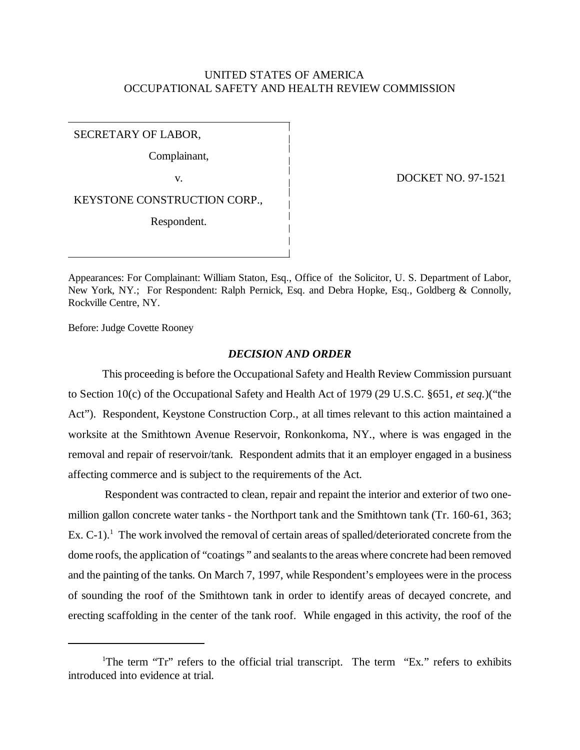# UNITED STATES OF AMERICA OCCUPATIONAL SAFETY AND HEALTH REVIEW COMMISSION

SECRETARY OF LABOR,

Complainant,

KEYSTONE CONSTRUCTION CORP.,

Respondent.

v. DOCKET NO. 97-1521

Appearances: For Complainant: William Staton, Esq., Office of the Solicitor, U. S. Department of Labor, New York, NY.; For Respondent: Ralph Pernick, Esq. and Debra Hopke, Esq., Goldberg & Connolly, Rockville Centre, NY.

Before: Judge Covette Rooney

# *DECISION AND ORDER*

This proceeding is before the Occupational Safety and Health Review Commission pursuant to Section 10(c) of the Occupational Safety and Health Act of 1979 (29 U.S.C. §651, *et seq.*)("the Act"). Respondent, Keystone Construction Corp., at all times relevant to this action maintained a worksite at the Smithtown Avenue Reservoir, Ronkonkoma, NY., where is was engaged in the removal and repair of reservoir/tank. Respondent admits that it an employer engaged in a business affecting commerce and is subject to the requirements of the Act.

 Respondent was contracted to clean, repair and repaint the interior and exterior of two onemillion gallon concrete water tanks - the Northport tank and the Smithtown tank (Tr. 160-61, 363; Ex. C-1).<sup>1</sup> The work involved the removal of certain areas of spalled/deteriorated concrete from the dome roofs, the application of "coatings " and sealants to the areas where concrete had been removed and the painting of the tanks. On March 7, 1997, while Respondent's employees were in the process of sounding the roof of the Smithtown tank in order to identify areas of decayed concrete, and erecting scaffolding in the center of the tank roof. While engaged in this activity, the roof of the

<sup>&</sup>lt;sup>1</sup>The term "Tr" refers to the official trial transcript. The term "Ex." refers to exhibits introduced into evidence at trial.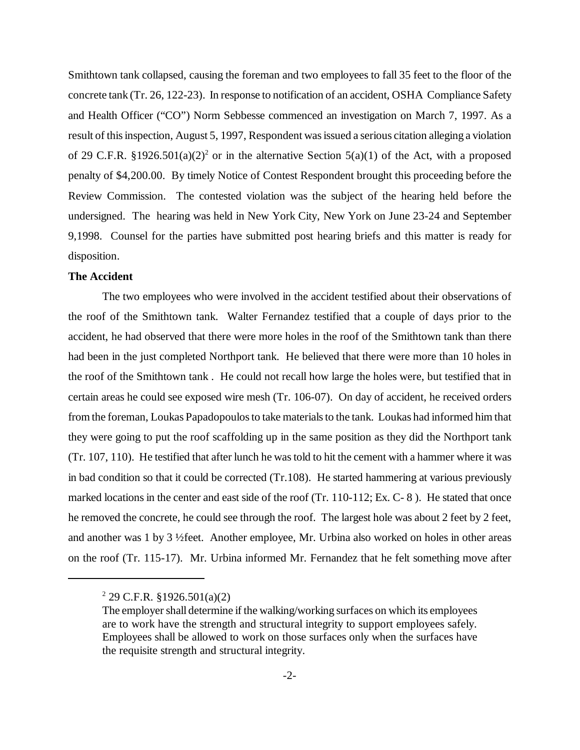Smithtown tank collapsed, causing the foreman and two employees to fall 35 feet to the floor of the concrete tank (Tr. 26, 122-23). In response to notification of an accident, OSHA Compliance Safety and Health Officer ("CO") Norm Sebbesse commenced an investigation on March 7, 1997. As a result of this inspection, August 5, 1997, Respondent was issued a serious citation alleging a violation of 29 C.F.R. §1926.501(a)(2)<sup>2</sup> or in the alternative Section 5(a)(1) of the Act, with a proposed penalty of \$4,200.00. By timely Notice of Contest Respondent brought this proceeding before the Review Commission. The contested violation was the subject of the hearing held before the undersigned. The hearing was held in New York City, New York on June 23-24 and September 9,1998. Counsel for the parties have submitted post hearing briefs and this matter is ready for disposition.

#### **The Accident**

The two employees who were involved in the accident testified about their observations of the roof of the Smithtown tank. Walter Fernandez testified that a couple of days prior to the accident, he had observed that there were more holes in the roof of the Smithtown tank than there had been in the just completed Northport tank. He believed that there were more than 10 holes in the roof of the Smithtown tank . He could not recall how large the holes were, but testified that in certain areas he could see exposed wire mesh (Tr. 106-07). On day of accident, he received orders from the foreman, Loukas Papadopoulos to take materials to the tank. Loukas had informed him that they were going to put the roof scaffolding up in the same position as they did the Northport tank (Tr. 107, 110). He testified that after lunch he was told to hit the cement with a hammer where it was in bad condition so that it could be corrected (Tr.108). He started hammering at various previously marked locations in the center and east side of the roof (Tr. 110-112; Ex. C-8). He stated that once he removed the concrete, he could see through the roof. The largest hole was about 2 feet by 2 feet, and another was 1 by 3 ½feet. Another employee, Mr. Urbina also worked on holes in other areas on the roof (Tr. 115-17). Mr. Urbina informed Mr. Fernandez that he felt something move after

 $2^{2}$  29 C.F.R. §1926.501(a)(2)

The employer shall determine if the walking/working surfaces on which its employees are to work have the strength and structural integrity to support employees safely. Employees shall be allowed to work on those surfaces only when the surfaces have the requisite strength and structural integrity.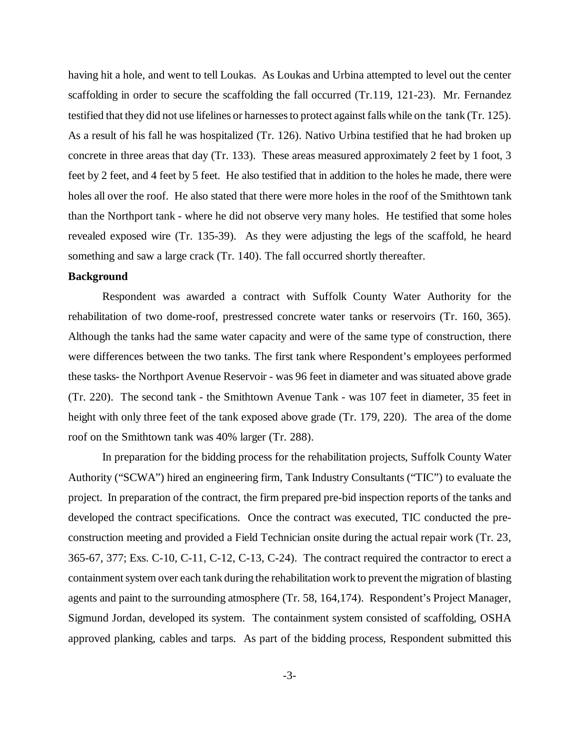having hit a hole, and went to tell Loukas. As Loukas and Urbina attempted to level out the center scaffolding in order to secure the scaffolding the fall occurred (Tr.119, 121-23). Mr. Fernandez testified that they did not use lifelines or harnesses to protect against falls while on the tank (Tr. 125). As a result of his fall he was hospitalized (Tr. 126). Nativo Urbina testified that he had broken up concrete in three areas that day (Tr. 133). These areas measured approximately 2 feet by 1 foot, 3 feet by 2 feet, and 4 feet by 5 feet. He also testified that in addition to the holes he made, there were holes all over the roof. He also stated that there were more holes in the roof of the Smithtown tank than the Northport tank - where he did not observe very many holes. He testified that some holes revealed exposed wire (Tr. 135-39). As they were adjusting the legs of the scaffold, he heard something and saw a large crack (Tr. 140). The fall occurred shortly thereafter.

#### **Background**

Respondent was awarded a contract with Suffolk County Water Authority for the rehabilitation of two dome-roof, prestressed concrete water tanks or reservoirs (Tr. 160, 365). Although the tanks had the same water capacity and were of the same type of construction, there were differences between the two tanks. The first tank where Respondent's employees performed these tasks- the Northport Avenue Reservoir - was 96 feet in diameter and was situated above grade (Tr. 220). The second tank - the Smithtown Avenue Tank - was 107 feet in diameter, 35 feet in height with only three feet of the tank exposed above grade (Tr. 179, 220). The area of the dome roof on the Smithtown tank was 40% larger (Tr. 288).

In preparation for the bidding process for the rehabilitation projects, Suffolk County Water Authority ("SCWA") hired an engineering firm, Tank Industry Consultants ("TIC") to evaluate the project. In preparation of the contract, the firm prepared pre-bid inspection reports of the tanks and developed the contract specifications. Once the contract was executed, TIC conducted the preconstruction meeting and provided a Field Technician onsite during the actual repair work (Tr. 23, 365-67, 377; Exs. C-10, C-11, C-12, C-13, C-24). The contract required the contractor to erect a containment system over each tank during the rehabilitation work to prevent the migration of blasting agents and paint to the surrounding atmosphere (Tr. 58, 164,174). Respondent's Project Manager, Sigmund Jordan, developed its system. The containment system consisted of scaffolding, OSHA approved planking, cables and tarps. As part of the bidding process, Respondent submitted this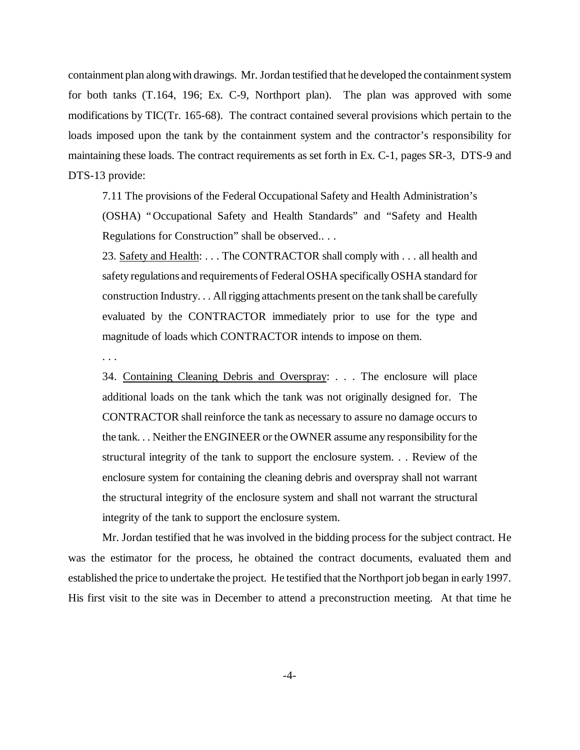containment plan along with drawings. Mr. Jordan testified that he developed the containment system for both tanks (T.164, 196; Ex. C-9, Northport plan). The plan was approved with some modifications by TIC(Tr. 165-68). The contract contained several provisions which pertain to the loads imposed upon the tank by the containment system and the contractor's responsibility for maintaining these loads. The contract requirements as set forth in Ex. C-1, pages SR-3, DTS-9 and DTS-13 provide:

7.11 The provisions of the Federal Occupational Safety and Health Administration's (OSHA) "Occupational Safety and Health Standards" and "Safety and Health Regulations for Construction" shall be observed.. . .

23. Safety and Health: . . . The CONTRACTOR shall comply with . . . all health and safety regulations and requirements of Federal OSHA specifically OSHA standard for construction Industry. . . All rigging attachments present on the tank shall be carefully evaluated by the CONTRACTOR immediately prior to use for the type and magnitude of loads which CONTRACTOR intends to impose on them.

. . .

34. Containing Cleaning Debris and Overspray: . . . The enclosure will place additional loads on the tank which the tank was not originally designed for. The CONTRACTOR shall reinforce the tank as necessary to assure no damage occurs to the tank. . . Neither the ENGINEER or the OWNER assume any responsibility for the structural integrity of the tank to support the enclosure system. . . Review of the enclosure system for containing the cleaning debris and overspray shall not warrant the structural integrity of the enclosure system and shall not warrant the structural integrity of the tank to support the enclosure system.

Mr. Jordan testified that he was involved in the bidding process for the subject contract. He was the estimator for the process, he obtained the contract documents, evaluated them and established the price to undertake the project. He testified that the Northport job began in early 1997. His first visit to the site was in December to attend a preconstruction meeting. At that time he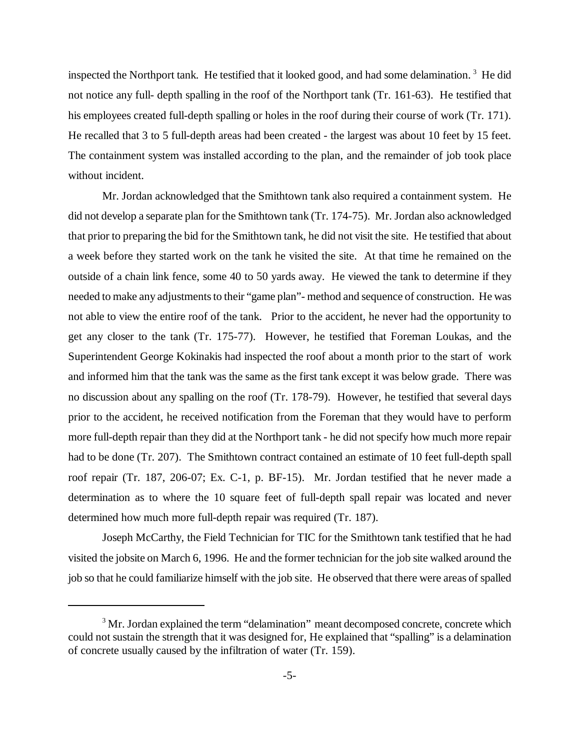inspected the Northport tank. He testified that it looked good, and had some delamination.<sup>3</sup> He did not notice any full- depth spalling in the roof of the Northport tank (Tr. 161-63). He testified that his employees created full-depth spalling or holes in the roof during their course of work (Tr. 171). He recalled that 3 to 5 full-depth areas had been created - the largest was about 10 feet by 15 feet. The containment system was installed according to the plan, and the remainder of job took place without incident.

Mr. Jordan acknowledged that the Smithtown tank also required a containment system. He did not develop a separate plan for the Smithtown tank (Tr. 174-75). Mr. Jordan also acknowledged that prior to preparing the bid for the Smithtown tank, he did not visit the site. He testified that about a week before they started work on the tank he visited the site. At that time he remained on the outside of a chain link fence, some 40 to 50 yards away. He viewed the tank to determine if they needed to make any adjustments to their "game plan"- method and sequence of construction. He was not able to view the entire roof of the tank. Prior to the accident, he never had the opportunity to get any closer to the tank (Tr. 175-77). However, he testified that Foreman Loukas, and the Superintendent George Kokinakis had inspected the roof about a month prior to the start of work and informed him that the tank was the same as the first tank except it was below grade. There was no discussion about any spalling on the roof (Tr. 178-79). However, he testified that several days prior to the accident, he received notification from the Foreman that they would have to perform more full-depth repair than they did at the Northport tank - he did not specify how much more repair had to be done (Tr. 207). The Smithtown contract contained an estimate of 10 feet full-depth spall roof repair (Tr. 187, 206-07; Ex. C-1, p. BF-15). Mr. Jordan testified that he never made a determination as to where the 10 square feet of full-depth spall repair was located and never determined how much more full-depth repair was required (Tr. 187).

Joseph McCarthy, the Field Technician for TIC for the Smithtown tank testified that he had visited the jobsite on March 6, 1996. He and the former technician for the job site walked around the job so that he could familiarize himself with the job site. He observed that there were areas of spalled

<sup>&</sup>lt;sup>3</sup> Mr. Jordan explained the term "delamination" meant decomposed concrete, concrete which could not sustain the strength that it was designed for, He explained that "spalling" is a delamination of concrete usually caused by the infiltration of water (Tr. 159).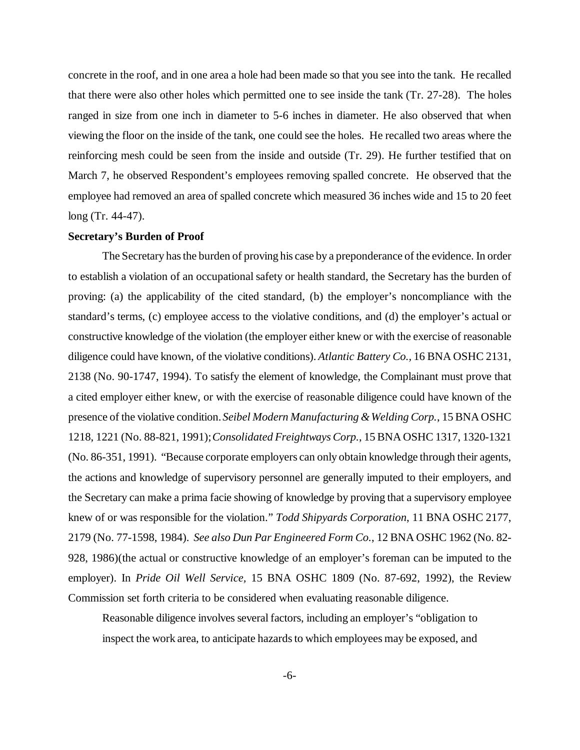concrete in the roof, and in one area a hole had been made so that you see into the tank. He recalled that there were also other holes which permitted one to see inside the tank (Tr. 27-28). The holes ranged in size from one inch in diameter to 5-6 inches in diameter. He also observed that when viewing the floor on the inside of the tank, one could see the holes. He recalled two areas where the reinforcing mesh could be seen from the inside and outside (Tr. 29). He further testified that on March 7, he observed Respondent's employees removing spalled concrete. He observed that the employee had removed an area of spalled concrete which measured 36 inches wide and 15 to 20 feet long (Tr. 44-47).

### **Secretary's Burden of Proof**

The Secretary has the burden of proving his case by a preponderance of the evidence. In order to establish a violation of an occupational safety or health standard, the Secretary has the burden of proving: (a) the applicability of the cited standard, (b) the employer's noncompliance with the standard's terms, (c) employee access to the violative conditions, and (d) the employer's actual or constructive knowledge of the violation (the employer either knew or with the exercise of reasonable diligence could have known, of the violative conditions). *Atlantic Battery Co.,* 16 BNA OSHC 2131, 2138 (No. 90-1747, 1994). To satisfy the element of knowledge, the Complainant must prove that a cited employer either knew, or with the exercise of reasonable diligence could have known of the presence of the violative condition. *Seibel Modern Manufacturing & Welding Corp.*, 15 BNA OSHC 1218, 1221 (No. 88-821, 1991); *Consolidated Freightways Corp.*, 15 BNA OSHC 1317, 1320-1321 (No. 86-351, 1991). "Because corporate employers can only obtain knowledge through their agents, the actions and knowledge of supervisory personnel are generally imputed to their employers, and the Secretary can make a prima facie showing of knowledge by proving that a supervisory employee knew of or was responsible for the violation." *Todd Shipyards Corporation*, 11 BNA OSHC 2177, 2179 (No. 77-1598, 1984). *See also Dun Par Engineered Form Co.*, 12 BNA OSHC 1962 (No. 82- 928, 1986)(the actual or constructive knowledge of an employer's foreman can be imputed to the employer). In *Pride Oil Well Service,* 15 BNA OSHC 1809 (No. 87-692, 1992), the Review Commission set forth criteria to be considered when evaluating reasonable diligence.

Reasonable diligence involves several factors, including an employer's "obligation to inspect the work area, to anticipate hazards to which employees may be exposed, and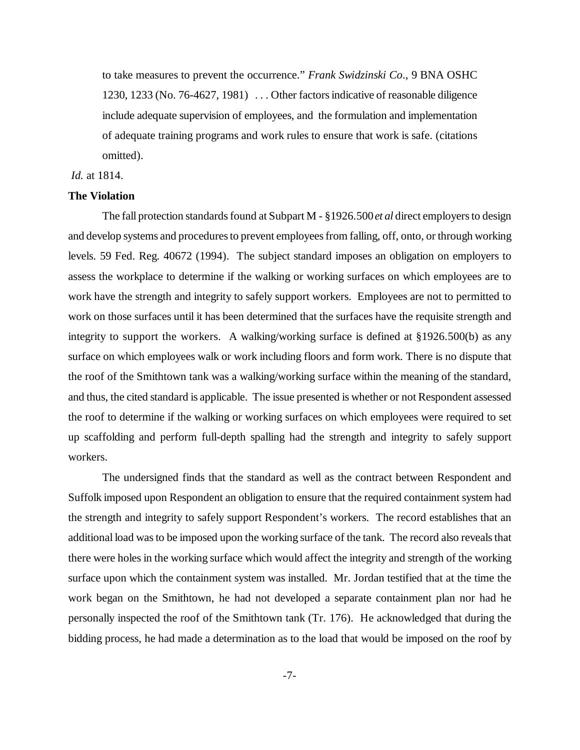to take measures to prevent the occurrence." *Frank Swidzinski Co*., 9 BNA OSHC 1230, 1233 (No. 76-4627, 1981) . . . Other factors indicative of reasonable diligence include adequate supervision of employees, and the formulation and implementation of adequate training programs and work rules to ensure that work is safe. (citations omitted).

#### *Id.* at 1814.

#### **The Violation**

The fall protection standards found at Subpart M - §1926.500 *et al* direct employers to design and develop systems and procedures to prevent employees from falling, off, onto, or through working levels. 59 Fed. Reg. 40672 (1994). The subject standard imposes an obligation on employers to assess the workplace to determine if the walking or working surfaces on which employees are to work have the strength and integrity to safely support workers. Employees are not to permitted to work on those surfaces until it has been determined that the surfaces have the requisite strength and integrity to support the workers.A walking/working surface is defined at §1926.500(b) as any surface on which employees walk or work including floors and form work. There is no dispute that the roof of the Smithtown tank was a walking/working surface within the meaning of the standard, and thus, the cited standard is applicable. The issue presented is whether or not Respondent assessed the roof to determine if the walking or working surfaces on which employees were required to set up scaffolding and perform full-depth spalling had the strength and integrity to safely support workers.

The undersigned finds that the standard as well as the contract between Respondent and Suffolk imposed upon Respondent an obligation to ensure that the required containment system had the strength and integrity to safely support Respondent's workers. The record establishes that an additional load was to be imposed upon the working surface of the tank. The record also reveals that there were holes in the working surface which would affect the integrity and strength of the working surface upon which the containment system was installed. Mr. Jordan testified that at the time the work began on the Smithtown, he had not developed a separate containment plan nor had he personally inspected the roof of the Smithtown tank (Tr. 176). He acknowledged that during the bidding process, he had made a determination as to the load that would be imposed on the roof by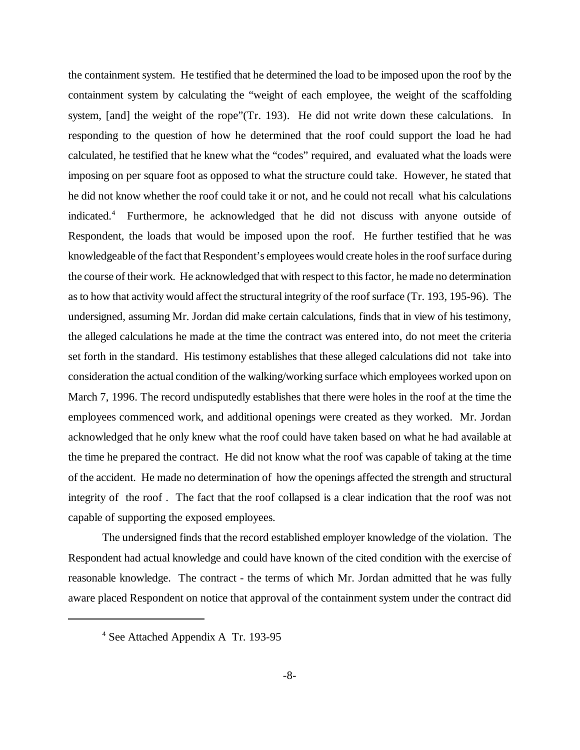the containment system. He testified that he determined the load to be imposed upon the roof by the containment system by calculating the "weight of each employee, the weight of the scaffolding system, [and] the weight of the rope"(Tr. 193). He did not write down these calculations. In responding to the question of how he determined that the roof could support the load he had calculated, he testified that he knew what the "codes" required, and evaluated what the loads were imposing on per square foot as opposed to what the structure could take. However, he stated that he did not know whether the roof could take it or not, and he could not recall what his calculations indicated.<sup>4</sup> Furthermore, he acknowledged that he did not discuss with anyone outside of Respondent, the loads that would be imposed upon the roof. He further testified that he was knowledgeable of the fact that Respondent's employees would create holes in the roof surface during the course of their work. He acknowledged that with respect to this factor, he made no determination as to how that activity would affect the structural integrity of the roof surface (Tr. 193, 195-96). The undersigned, assuming Mr. Jordan did make certain calculations, finds that in view of his testimony, the alleged calculations he made at the time the contract was entered into, do not meet the criteria set forth in the standard. His testimony establishes that these alleged calculations did not take into consideration the actual condition of the walking/working surface which employees worked upon on March 7, 1996. The record undisputedly establishes that there were holes in the roof at the time the employees commenced work, and additional openings were created as they worked. Mr. Jordan acknowledged that he only knew what the roof could have taken based on what he had available at the time he prepared the contract. He did not know what the roof was capable of taking at the time of the accident. He made no determination of how the openings affected the strength and structural integrity of the roof . The fact that the roof collapsed is a clear indication that the roof was not capable of supporting the exposed employees.

The undersigned finds that the record established employer knowledge of the violation. The Respondent had actual knowledge and could have known of the cited condition with the exercise of reasonable knowledge. The contract - the terms of which Mr. Jordan admitted that he was fully aware placed Respondent on notice that approval of the containment system under the contract did

<sup>4</sup> See Attached Appendix A Tr. 193-95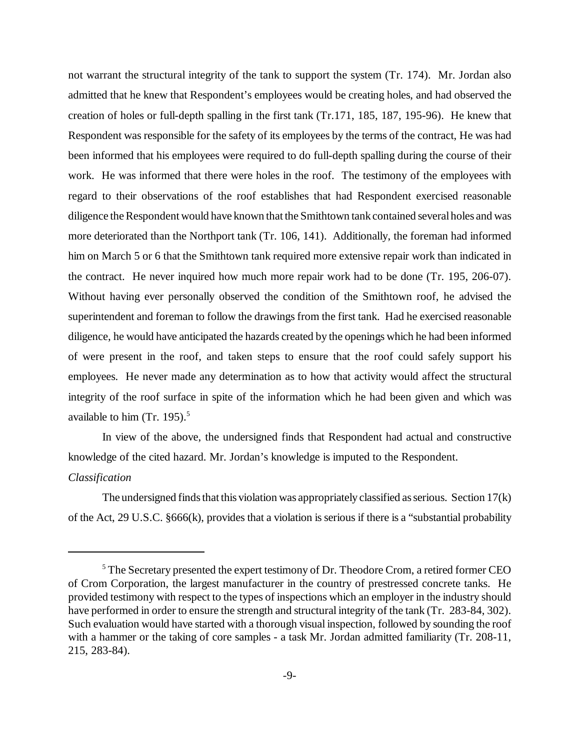not warrant the structural integrity of the tank to support the system (Tr. 174). Mr. Jordan also admitted that he knew that Respondent's employees would be creating holes, and had observed the creation of holes or full-depth spalling in the first tank (Tr.171, 185, 187, 195-96). He knew that Respondent was responsible for the safety of its employees by the terms of the contract, He was had been informed that his employees were required to do full-depth spalling during the course of their work. He was informed that there were holes in the roof. The testimony of the employees with regard to their observations of the roof establishes that had Respondent exercised reasonable diligence the Respondent would have known that the Smithtown tank contained several holes and was more deteriorated than the Northport tank (Tr. 106, 141). Additionally, the foreman had informed him on March 5 or 6 that the Smithtown tank required more extensive repair work than indicated in the contract. He never inquired how much more repair work had to be done (Tr. 195, 206-07). Without having ever personally observed the condition of the Smithtown roof, he advised the superintendent and foreman to follow the drawings from the first tank. Had he exercised reasonable diligence, he would have anticipated the hazards created by the openings which he had been informed of were present in the roof, and taken steps to ensure that the roof could safely support his employees. He never made any determination as to how that activity would affect the structural integrity of the roof surface in spite of the information which he had been given and which was available to him (Tr. 195). $5$ 

In view of the above, the undersigned finds that Respondent had actual and constructive knowledge of the cited hazard. Mr. Jordan's knowledge is imputed to the Respondent.

# *Classification*

The undersigned finds that this violation was appropriately classified as serious. Section 17(k) of the Act, 29 U.S.C. §666(k), provides that a violation is serious if there is a "substantial probability

<sup>&</sup>lt;sup>5</sup> The Secretary presented the expert testimony of Dr. Theodore Crom, a retired former CEO of Crom Corporation, the largest manufacturer in the country of prestressed concrete tanks. He provided testimony with respect to the types of inspections which an employer in the industry should have performed in order to ensure the strength and structural integrity of the tank (Tr. 283-84, 302). Such evaluation would have started with a thorough visual inspection, followed by sounding the roof with a hammer or the taking of core samples - a task Mr. Jordan admitted familiarity (Tr. 208-11, 215, 283-84).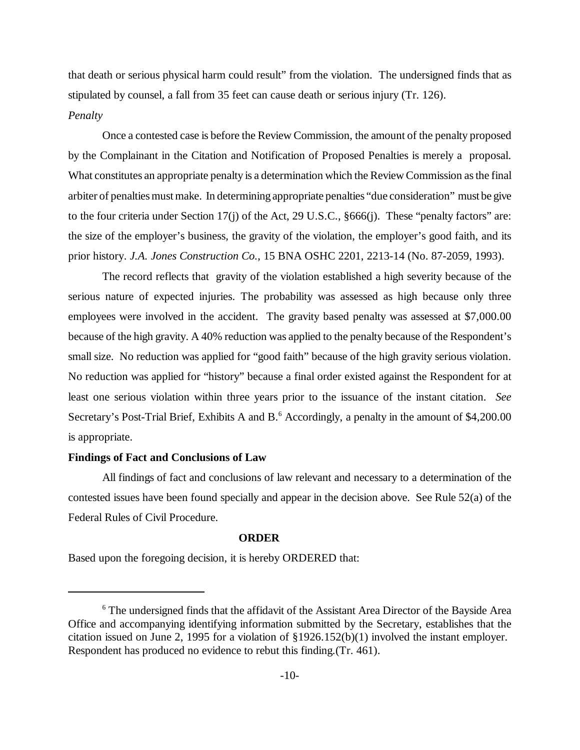that death or serious physical harm could result" from the violation. The undersigned finds that as stipulated by counsel, a fall from 35 feet can cause death or serious injury (Tr. 126).

# *Penalty*

Once a contested case is before the Review Commission, the amount of the penalty proposed by the Complainant in the Citation and Notification of Proposed Penalties is merely a proposal. What constitutes an appropriate penalty is a determination which the Review Commission as the final arbiter of penalties must make. In determining appropriate penalties "due consideration" must be give to the four criteria under Section 17(j) of the Act, 29 U.S.C., §666(j). These "penalty factors" are: the size of the employer's business, the gravity of the violation, the employer's good faith, and its prior history. *J.A. Jones Construction Co.*, 15 BNA OSHC 2201, 2213-14 (No. 87-2059, 1993).

The record reflects that gravity of the violation established a high severity because of the serious nature of expected injuries. The probability was assessed as high because only three employees were involved in the accident. The gravity based penalty was assessed at \$7,000.00 because of the high gravity. A 40% reduction was applied to the penalty because of the Respondent's small size. No reduction was applied for "good faith" because of the high gravity serious violation. No reduction was applied for "history" because a final order existed against the Respondent for at least one serious violation within three years prior to the issuance of the instant citation. *See* Secretary's Post-Trial Brief, Exhibits A and B.<sup>6</sup> Accordingly, a penalty in the amount of \$4,200.00 is appropriate.

#### **Findings of Fact and Conclusions of Law**

All findings of fact and conclusions of law relevant and necessary to a determination of the contested issues have been found specially and appear in the decision above. See Rule 52(a) of the Federal Rules of Civil Procedure.

#### **ORDER**

Based upon the foregoing decision, it is hereby ORDERED that:

<sup>&</sup>lt;sup>6</sup> The undersigned finds that the affidavit of the Assistant Area Director of the Bayside Area Office and accompanying identifying information submitted by the Secretary, establishes that the citation issued on June 2, 1995 for a violation of §1926.152(b)(1) involved the instant employer. Respondent has produced no evidence to rebut this finding.(Tr. 461).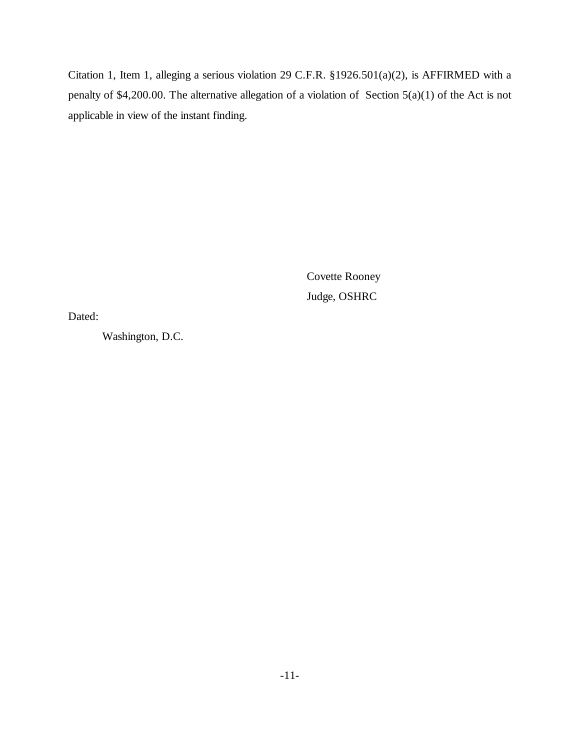Citation 1, Item 1, alleging a serious violation 29 C.F.R. §1926.501(a)(2), is AFFIRMED with a penalty of \$4,200.00. The alternative allegation of a violation of Section 5(a)(1) of the Act is not applicable in view of the instant finding.

> Covette Rooney Judge, OSHRC

Dated:

Washington, D.C.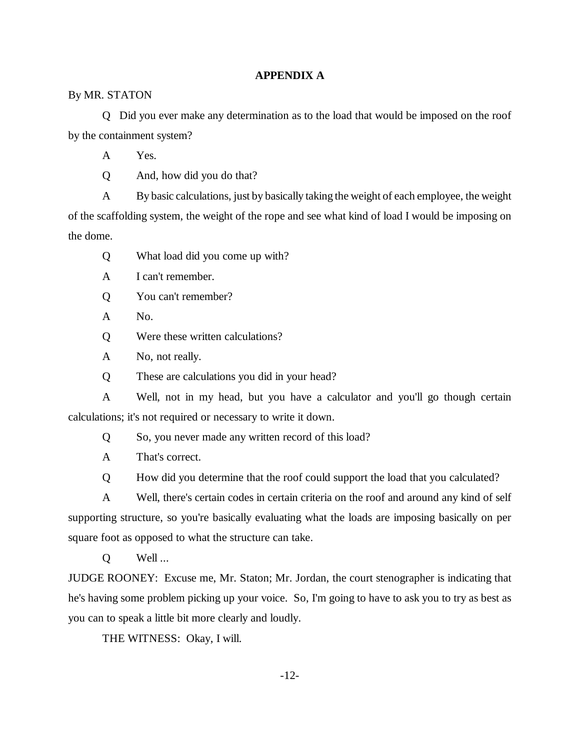# **APPENDIX A**

## By MR. STATON

Q Did you ever make any determination as to the load that would be imposed on the roof by the containment system?

A Yes.

Q And, how did you do that?

A By basic calculations, just by basically taking the weight of each employee, the weight of the scaffolding system, the weight of the rope and see what kind of load I would be imposing on the dome.

Q What load did you come up with?

A I can't remember.

Q You can't remember?

A No.

Q Were these written calculations?

A No, not really.

Q These are calculations you did in your head?

A Well, not in my head, but you have a calculator and you'll go though certain calculations; it's not required or necessary to write it down.

Q So, you never made any written record of this load?

A That's correct.

Q How did you determine that the roof could support the load that you calculated?

A Well, there's certain codes in certain criteria on the roof and around any kind of self supporting structure, so you're basically evaluating what the loads are imposing basically on per square foot as opposed to what the structure can take.

Q Well ...

JUDGE ROONEY: Excuse me, Mr. Staton; Mr. Jordan, the court stenographer is indicating that he's having some problem picking up your voice. So, I'm going to have to ask you to try as best as you can to speak a little bit more clearly and loudly.

THE WITNESS: Okay, I will.